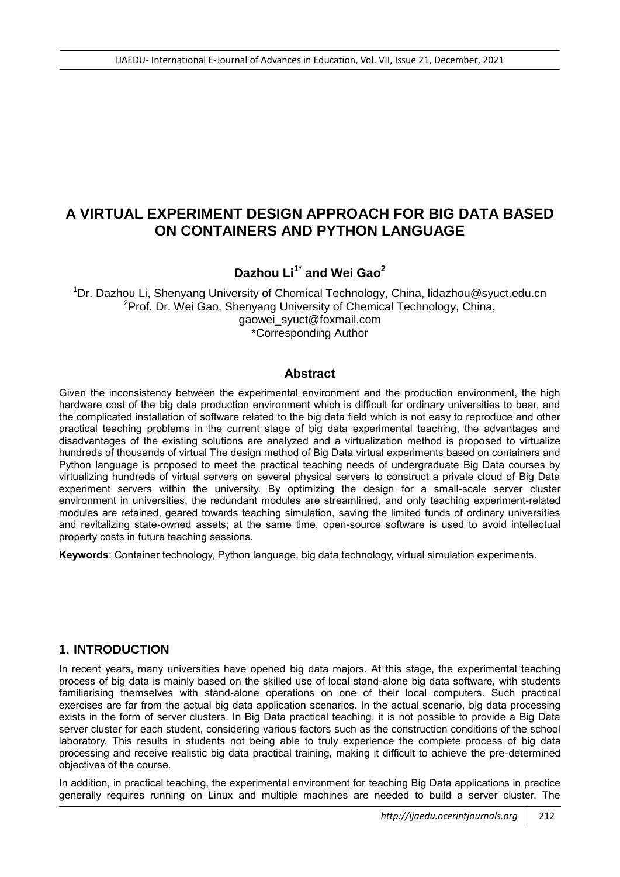# **A VIRTUAL EXPERIMENT DESIGN APPROACH FOR BIG DATA BASED ON CONTAINERS AND PYTHON LANGUAGE**

# **Dazhou Li1\* and Wei Gao<sup>2</sup>**

<sup>1</sup>Dr. Dazhou Li, Shenyang University of Chemical Technology, China, lidazhou@syuct.edu.cn <sup>2</sup>Prof. Dr. Wei Gao, Shenyang University of Chemical Technology, China, gaowei\_syuct@foxmail.com \*Corresponding Author

#### **Abstract**

Given the inconsistency between the experimental environment and the production environment, the high hardware cost of the big data production environment which is difficult for ordinary universities to bear, and the complicated installation of software related to the big data field which is not easy to reproduce and other practical teaching problems in the current stage of big data experimental teaching, the advantages and disadvantages of the existing solutions are analyzed and a virtualization method is proposed to virtualize hundreds of thousands of virtual The design method of Big Data virtual experiments based on containers and Python language is proposed to meet the practical teaching needs of undergraduate Big Data courses by virtualizing hundreds of virtual servers on several physical servers to construct a private cloud of Big Data experiment servers within the university. By optimizing the design for a small-scale server cluster environment in universities, the redundant modules are streamlined, and only teaching experiment-related modules are retained, geared towards teaching simulation, saving the limited funds of ordinary universities and revitalizing state-owned assets; at the same time, open-source software is used to avoid intellectual property costs in future teaching sessions.

**Keywords**: Container technology, Python language, big data technology, virtual simulation experiments.

#### **1. INTRODUCTION**

In recent years, many universities have opened big data majors. At this stage, the experimental teaching process of big data is mainly based on the skilled use of local stand-alone big data software, with students familiarising themselves with stand-alone operations on one of their local computers. Such practical exercises are far from the actual big data application scenarios. In the actual scenario, big data processing exists in the form of server clusters. In Big Data practical teaching, it is not possible to provide a Big Data server cluster for each student, considering various factors such as the construction conditions of the school laboratory. This results in students not being able to truly experience the complete process of big data processing and receive realistic big data practical training, making it difficult to achieve the pre-determined objectives of the course.

In addition, in practical teaching, the experimental environment for teaching Big Data applications in practice generally requires running on Linux and multiple machines are needed to build a server cluster. The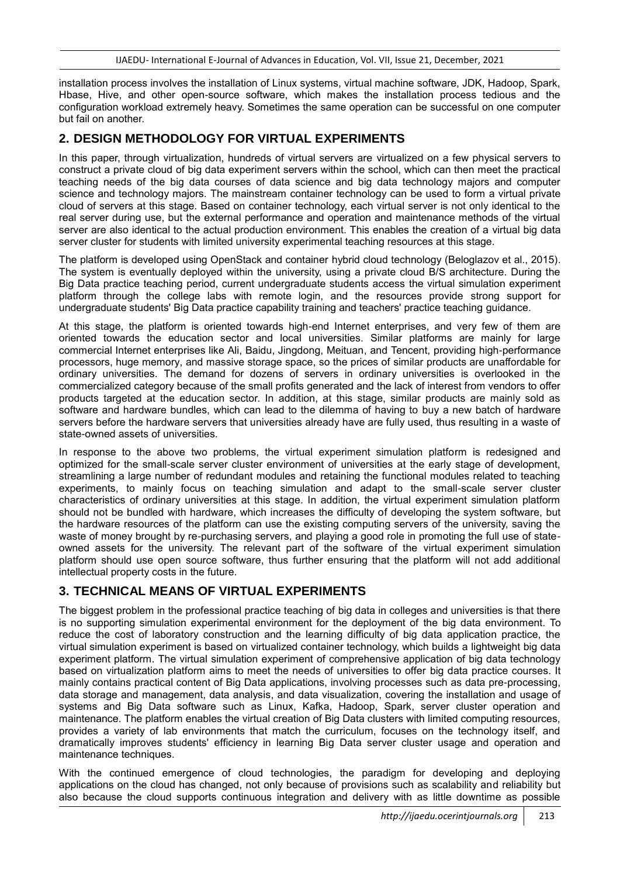installation process involves the installation of Linux systems, virtual machine software, JDK, Hadoop, Spark, Hbase, Hive, and other open-source software, which makes the installation process tedious and the configuration workload extremely heavy. Sometimes the same operation can be successful on one computer but fail on another.

#### **2. DESIGN METHODOLOGY FOR VIRTUAL EXPERIMENTS**

In this paper, through virtualization, hundreds of virtual servers are virtualized on a few physical servers to construct a private cloud of big data experiment servers within the school, which can then meet the practical teaching needs of the big data courses of data science and big data technology majors and computer science and technology majors. The mainstream container technology can be used to form a virtual private cloud of servers at this stage. Based on container technology, each virtual server is not only identical to the real server during use, but the external performance and operation and maintenance methods of the virtual server are also identical to the actual production environment. This enables the creation of a virtual big data server cluster for students with limited university experimental teaching resources at this stage.

The platform is developed using OpenStack and container hybrid cloud technology (Beloglazov et al., 2015). The system is eventually deployed within the university, using a private cloud B/S architecture. During the Big Data practice teaching period, current undergraduate students access the virtual simulation experiment platform through the college labs with remote login, and the resources provide strong support for undergraduate students' Big Data practice capability training and teachers' practice teaching guidance.

At this stage, the platform is oriented towards high-end Internet enterprises, and very few of them are oriented towards the education sector and local universities. Similar platforms are mainly for large commercial Internet enterprises like Ali, Baidu, Jingdong, Meituan, and Tencent, providing high-performance processors, huge memory, and massive storage space, so the prices of similar products are unaffordable for ordinary universities. The demand for dozens of servers in ordinary universities is overlooked in the commercialized category because of the small profits generated and the lack of interest from vendors to offer products targeted at the education sector. In addition, at this stage, similar products are mainly sold as software and hardware bundles, which can lead to the dilemma of having to buy a new batch of hardware servers before the hardware servers that universities already have are fully used, thus resulting in a waste of state-owned assets of universities.

In response to the above two problems, the virtual experiment simulation platform is redesigned and optimized for the small-scale server cluster environment of universities at the early stage of development, streamlining a large number of redundant modules and retaining the functional modules related to teaching experiments, to mainly focus on teaching simulation and adapt to the small-scale server cluster characteristics of ordinary universities at this stage. In addition, the virtual experiment simulation platform should not be bundled with hardware, which increases the difficulty of developing the system software, but the hardware resources of the platform can use the existing computing servers of the university, saving the waste of money brought by re-purchasing servers, and playing a good role in promoting the full use of stateowned assets for the university. The relevant part of the software of the virtual experiment simulation platform should use open source software, thus further ensuring that the platform will not add additional intellectual property costs in the future.

## **3. TECHNICAL MEANS OF VIRTUAL EXPERIMENTS**

The biggest problem in the professional practice teaching of big data in colleges and universities is that there is no supporting simulation experimental environment for the deployment of the big data environment. To reduce the cost of laboratory construction and the learning difficulty of big data application practice, the virtual simulation experiment is based on virtualized container technology, which builds a lightweight big data experiment platform. The virtual simulation experiment of comprehensive application of big data technology based on virtualization platform aims to meet the needs of universities to offer big data practice courses. It mainly contains practical content of Big Data applications, involving processes such as data pre-processing, data storage and management, data analysis, and data visualization, covering the installation and usage of systems and Big Data software such as Linux, Kafka, Hadoop, Spark, server cluster operation and maintenance. The platform enables the virtual creation of Big Data clusters with limited computing resources, provides a variety of lab environments that match the curriculum, focuses on the technology itself, and dramatically improves students' efficiency in learning Big Data server cluster usage and operation and maintenance techniques.

With the continued emergence of cloud technologies, the paradigm for developing and deploying applications on the cloud has changed, not only because of provisions such as scalability and reliability but also because the cloud supports continuous integration and delivery with as little downtime as possible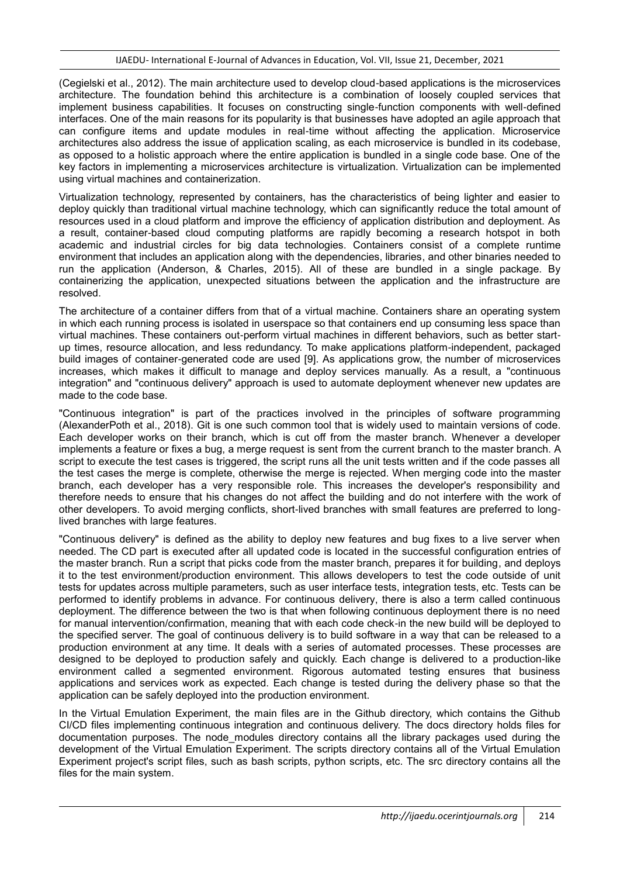(Cegielski et al., 2012). The main architecture used to develop cloud-based applications is the microservices architecture. The foundation behind this architecture is a combination of loosely coupled services that implement business capabilities. It focuses on constructing single-function components with well-defined interfaces. One of the main reasons for its popularity is that businesses have adopted an agile approach that can configure items and update modules in real-time without affecting the application. Microservice architectures also address the issue of application scaling, as each microservice is bundled in its codebase, as opposed to a holistic approach where the entire application is bundled in a single code base. One of the key factors in implementing a microservices architecture is virtualization. Virtualization can be implemented using virtual machines and containerization.

Virtualization technology, represented by containers, has the characteristics of being lighter and easier to deploy quickly than traditional virtual machine technology, which can significantly reduce the total amount of resources used in a cloud platform and improve the efficiency of application distribution and deployment. As a result, container-based cloud computing platforms are rapidly becoming a research hotspot in both academic and industrial circles for big data technologies. Containers consist of a complete runtime environment that includes an application along with the dependencies, libraries, and other binaries needed to run the application (Anderson, & Charles, 2015). All of these are bundled in a single package. By containerizing the application, unexpected situations between the application and the infrastructure are resolved.

The architecture of a container differs from that of a virtual machine. Containers share an operating system in which each running process is isolated in userspace so that containers end up consuming less space than virtual machines. These containers out-perform virtual machines in different behaviors, such as better startup times, resource allocation, and less redundancy. To make applications platform-independent, packaged build images of container-generated code are used [9]. As applications grow, the number of microservices increases, which makes it difficult to manage and deploy services manually. As a result, a "continuous integration" and "continuous delivery" approach is used to automate deployment whenever new updates are made to the code base.

"Continuous integration" is part of the practices involved in the principles of software programming (AlexanderPoth et al., 2018). Git is one such common tool that is widely used to maintain versions of code. Each developer works on their branch, which is cut off from the master branch. Whenever a developer implements a feature or fixes a bug, a merge request is sent from the current branch to the master branch. A script to execute the test cases is triggered, the script runs all the unit tests written and if the code passes all the test cases the merge is complete, otherwise the merge is rejected. When merging code into the master branch, each developer has a very responsible role. This increases the developer's responsibility and therefore needs to ensure that his changes do not affect the building and do not interfere with the work of other developers. To avoid merging conflicts, short-lived branches with small features are preferred to longlived branches with large features.

"Continuous delivery" is defined as the ability to deploy new features and bug fixes to a live server when needed. The CD part is executed after all updated code is located in the successful configuration entries of the master branch. Run a script that picks code from the master branch, prepares it for building, and deploys it to the test environment/production environment. This allows developers to test the code outside of unit tests for updates across multiple parameters, such as user interface tests, integration tests, etc. Tests can be performed to identify problems in advance. For continuous delivery, there is also a term called continuous deployment. The difference between the two is that when following continuous deployment there is no need for manual intervention/confirmation, meaning that with each code check-in the new build will be deployed to the specified server. The goal of continuous delivery is to build software in a way that can be released to a production environment at any time. It deals with a series of automated processes. These processes are designed to be deployed to production safely and quickly. Each change is delivered to a production-like environment called a segmented environment. Rigorous automated testing ensures that business applications and services work as expected. Each change is tested during the delivery phase so that the application can be safely deployed into the production environment.

In the Virtual Emulation Experiment, the main files are in the Github directory, which contains the Github CI/CD files implementing continuous integration and continuous delivery. The docs directory holds files for documentation purposes. The node modules directory contains all the library packages used during the development of the Virtual Emulation Experiment. The scripts directory contains all of the Virtual Emulation Experiment project's script files, such as bash scripts, python scripts, etc. The src directory contains all the files for the main system.